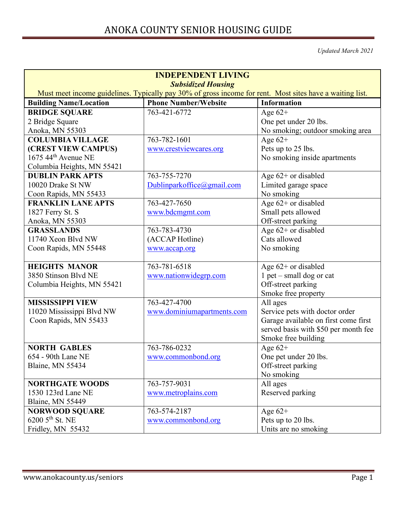*Updated March 2021*

| <b>INDEPENDENT LIVING</b>                                                                                |                             |                                      |
|----------------------------------------------------------------------------------------------------------|-----------------------------|--------------------------------------|
| <b>Subsidized Housing</b>                                                                                |                             |                                      |
| Must meet income guidelines. Typically pay 30% of gross income for rent. Most sites have a waiting list. |                             |                                      |
| <b>Building Name/Location</b>                                                                            | <b>Phone Number/Website</b> | <b>Information</b>                   |
| <b>BRIDGE SQUARE</b>                                                                                     | 763-421-6772                | Age $62+$                            |
| 2 Bridge Square                                                                                          |                             | One pet under 20 lbs.                |
| Anoka, MN 55303                                                                                          |                             | No smoking; outdoor smoking area     |
| <b>COLUMBIA VILLAGE</b>                                                                                  | 763-782-1601                | Age $62+$                            |
| (CREST VIEW CAMPUS)                                                                                      | www.crestviewcares.org      | Pets up to 25 lbs.                   |
| $1675$ 44 <sup>th</sup> Avenue NE                                                                        |                             | No smoking inside apartments         |
| Columbia Heights, MN 55421                                                                               |                             |                                      |
| <b>DUBLIN PARK APTS</b>                                                                                  | 763-755-7270                | Age $62+$ or disabled                |
| 10020 Drake St NW                                                                                        | Dublinparkoffice@gmail.com  | Limited garage space                 |
| Coon Rapids, MN 55433                                                                                    |                             | No smoking                           |
| <b>FRANKLIN LANE APTS</b>                                                                                | 763-427-7650                | Age 62+ or disabled                  |
| 1827 Ferry St. S                                                                                         | www.bdcmgmt.com             | Small pets allowed                   |
| Anoka, MN 55303                                                                                          |                             | Off-street parking                   |
| <b>GRASSLANDS</b>                                                                                        | 763-783-4730                | Age 62+ or disabled                  |
| 11740 Xeon Blvd NW                                                                                       | (ACCAP Hotline)             | Cats allowed                         |
| Coon Rapids, MN 55448                                                                                    | www.accap.org               | No smoking                           |
|                                                                                                          |                             |                                      |
| <b>HEIGHTS MANOR</b>                                                                                     | 763-781-6518                | Age $62+$ or disabled                |
| 3850 Stinson Blvd NE                                                                                     | www.nationwidegrp.com       | $1$ pet – small dog or cat           |
| Columbia Heights, MN 55421                                                                               |                             | Off-street parking                   |
|                                                                                                          |                             | Smoke free property                  |
| <b>MISSISSIPPI VIEW</b>                                                                                  | 763-427-4700                | All ages                             |
| 11020 Mississippi Blvd NW                                                                                | www.dominiumapartments.com  | Service pets with doctor order       |
| Coon Rapids, MN 55433                                                                                    |                             | Garage available on first come first |
|                                                                                                          |                             | served basis with \$50 per month fee |
|                                                                                                          |                             | Smoke free building                  |
| <b>NORTH GABLES</b>                                                                                      | 763-786-0232                | Age $62+$                            |
| 654 - 90th Lane NE                                                                                       | www.commonbond.org          | One pet under 20 lbs.                |
| Blaine, MN 55434                                                                                         |                             | Off-street parking                   |
|                                                                                                          |                             | No smoking                           |
| <b>NORTHGATE WOODS</b>                                                                                   | 763-757-9031                | All ages                             |
| 1530 123rd Lane NE                                                                                       | www.metroplains.com         | Reserved parking                     |
| Blaine, MN 55449                                                                                         |                             |                                      |
| <b>NORWOOD SQUARE</b>                                                                                    | 763-574-2187                | Age $62+$                            |
| $6200$ 5 <sup>th</sup> St. NE                                                                            | www.commonbond.org          | Pets up to 20 lbs.                   |
| Fridley, MN 55432                                                                                        |                             | Units are no smoking                 |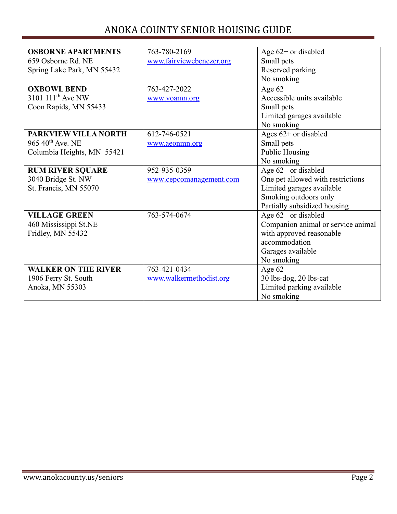| <b>OSBORNE APARTMENTS</b>     | 763-780-2169             | Age $62+$ or disabled              |
|-------------------------------|--------------------------|------------------------------------|
| 659 Osborne Rd. NE            | www.fairviewebenezer.org | Small pets                         |
| Spring Lake Park, MN 55432    |                          | Reserved parking                   |
|                               |                          | No smoking                         |
| <b>OXBOWL BEND</b>            | 763-427-2022             | Age $62+$                          |
| 3101 111 <sup>th</sup> Ave NW | www.voamn.org            | Accessible units available         |
| Coon Rapids, MN 55433         |                          | Small pets                         |
|                               |                          | Limited garages available          |
|                               |                          | No smoking                         |
| <b>PARKVIEW VILLA NORTH</b>   | 612-746-0521             | Ages $62+$ or disabled             |
| 965 40 <sup>th</sup> Ave. NE  | www.aeonmn.org           | Small pets                         |
| Columbia Heights, MN 55421    |                          | <b>Public Housing</b>              |
|                               |                          | No smoking                         |
| <b>RUM RIVER SQUARE</b>       | 952-935-0359             | Age 62+ or disabled                |
| 3040 Bridge St. NW            | www.cepcomanagement.com  | One pet allowed with restrictions  |
| St. Francis, MN 55070         |                          | Limited garages available          |
|                               |                          | Smoking outdoors only              |
|                               |                          | Partially subsidized housing       |
| <b>VILLAGE GREEN</b>          | 763-574-0674             | Age $62+$ or disabled              |
| 460 Mississippi St.NE         |                          | Companion animal or service animal |
| Fridley, MN 55432             |                          | with approved reasonable           |
|                               |                          | accommodation                      |
|                               |                          | Garages available                  |
|                               |                          | No smoking                         |
| <b>WALKER ON THE RIVER</b>    | 763-421-0434             | Age $62+$                          |
| 1906 Ferry St. South          | www.walkermethodist.org  | 30 lbs-dog, 20 lbs-cat             |
| Anoka, MN 55303               |                          | Limited parking available          |
|                               |                          | No smoking                         |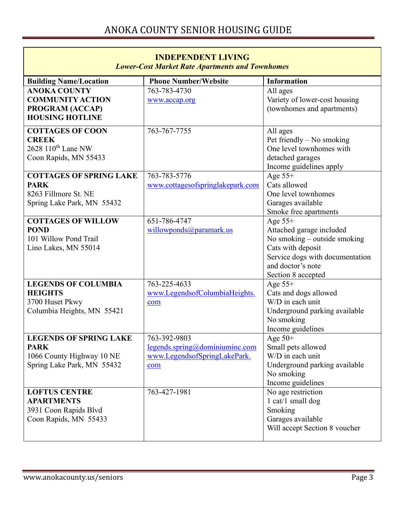| <b>INDEPENDENT LIVING</b><br><b>Lower-Cost Market Rate Apartments and Townhomes</b>                     |                                                                                    |                                                                                                                                                                          |
|---------------------------------------------------------------------------------------------------------|------------------------------------------------------------------------------------|--------------------------------------------------------------------------------------------------------------------------------------------------------------------------|
| <b>Building Name/Location</b>                                                                           | <b>Phone Number/Website</b>                                                        | <b>Information</b>                                                                                                                                                       |
| <b>ANOKA COUNTY</b><br><b>COMMUNITY ACTION</b><br>PROGRAM (ACCAP)<br><b>HOUSING HOTLINE</b>             | 763-783-4730<br>www.accap.org                                                      | All ages<br>Variety of lower-cost housing<br>(townhomes and apartments)                                                                                                  |
| <b>COTTAGES OF COON</b><br><b>CREEK</b><br>2628 110 <sup>th</sup> Lane NW<br>Coon Rapids, MN 55433      | 763-767-7755                                                                       | All ages<br>Pet friendly $-$ No smoking<br>One level townhomes with<br>detached garages<br>Income guidelines apply                                                       |
| <b>COTTAGES OF SPRING LAKE</b><br><b>PARK</b><br>8263 Fillmore St. NE<br>Spring Lake Park, MN 55432     | 763-783-5776<br>www.cottagesofspringlakepark.com                                   | Age $55+$<br>Cats allowed<br>One level townhomes<br>Garages available<br>Smoke free apartments                                                                           |
| <b>COTTAGES OF WILLOW</b><br><b>POND</b><br>101 Willow Pond Trail<br>Lino Lakes, MN 55014               | 651-786-4747<br>willowponds@paramark.us                                            | Age $55+$<br>Attached garage included<br>No smoking - outside smoking<br>Cats with deposit<br>Service dogs with documentation<br>and doctor's note<br>Section 8 accepted |
| <b>LEGENDS OF COLUMBIA</b><br><b>HEIGHTS</b><br>3700 Huset Pkwy<br>Columbia Heights, MN 55421           | 763-225-4633<br>www.LegendsofColumbiaHeights.<br>com                               | Age $55+$<br>Cats and dogs allowed<br>W/D in each unit<br>Underground parking available<br>No smoking<br>Income guidelines                                               |
| <b>LEGENDS OF SPRING LAKE</b><br><b>PARK</b><br>1066 County Highway 10 NE<br>Spring Lake Park, MN 55432 | 763-392-9803<br>legends.springframework.com<br>www.LegendsofSpringLakePark.<br>com | Age $50+$<br>Small pets allowed<br>W/D in each unit<br>Underground parking available<br>No smoking<br>Income guidelines                                                  |
| <b>LOFTUS CENTRE</b><br><b>APARTMENTS</b><br>3931 Coon Rapids Blvd<br>Coon Rapids, MN 55433             | 763-427-1981                                                                       | No age restriction<br>$1 \text{ cat}/1 \text{ small dog}$<br>Smoking<br>Garages available<br>Will accept Section 8 voucher                                               |

 $\overline{\phantom{a}}$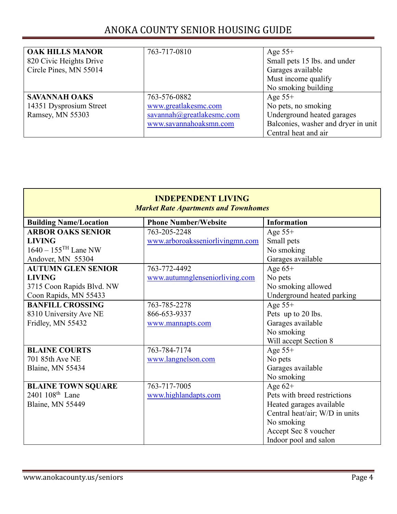| <b>OAK HILLS MANOR</b><br>820 Civic Heights Drive | 763-717-0810              | Age $55+$<br>Small pets 15 lbs. and under |
|---------------------------------------------------|---------------------------|-------------------------------------------|
| Circle Pines, MN 55014                            |                           | Garages available                         |
|                                                   |                           | Must income qualify                       |
|                                                   |                           | No smoking building                       |
| <b>SAVANNAH OAKS</b>                              | 763-576-0882              | Age $55+$                                 |
| 14351 Dysprosium Street                           | www.greatlakesmc.com      | No pets, no smoking                       |
| Ramsey, MN 55303                                  | savannah@greatlakesmc.com | Underground heated garages                |
|                                                   | www.savannahoaksmn.com    | Balconies, washer and dryer in unit       |
|                                                   |                           | Central heat and air                      |

| <b>INDEPENDENT LIVING</b><br><b>Market Rate Apartments and Townhomes</b> |                                 |                                |
|--------------------------------------------------------------------------|---------------------------------|--------------------------------|
| <b>Building Name/Location</b>                                            | <b>Phone Number/Website</b>     | <b>Information</b>             |
| <b>ARBOR OAKS SENIOR</b>                                                 | 763-205-2248                    | Age $55+$                      |
| <b>LIVING</b>                                                            | www.arboroaksseniorlivingmn.com | Small pets                     |
| $1640 - 155$ <sup>TH</sup> Lane NW                                       |                                 | No smoking                     |
| Andover, MN 55304                                                        |                                 | Garages available              |
| <b>AUTUMN GLEN SENIOR</b>                                                | 763-772-4492                    | Age $65+$                      |
| <b>LIVING</b>                                                            | www.autumnglenseniorliving.com  | No pets                        |
| 3715 Coon Rapids Blvd. NW                                                |                                 | No smoking allowed             |
| Coon Rapids, MN 55433                                                    |                                 | Underground heated parking     |
| <b>BANFILL CROSSING</b>                                                  | 763-785-2278                    | Age $55+$                      |
| 8310 University Ave NE                                                   | 866-653-9337                    | Pets up to 20 lbs.             |
| Fridley, MN 55432                                                        | www.mannapts.com                | Garages available              |
|                                                                          |                                 | No smoking                     |
|                                                                          |                                 | Will accept Section 8          |
| <b>BLAINE COURTS</b>                                                     | 763-784-7174                    | Age $55+$                      |
| 701 85th Ave NE                                                          | www.langnelson.com              | No pets                        |
| Blaine, MN 55434                                                         |                                 | Garages available              |
|                                                                          |                                 | No smoking                     |
| <b>BLAINE TOWN SQUARE</b>                                                | 763-717-7005                    | Age $62+$                      |
| $2401~108^{\text{th}}$ Lane                                              | www.highlandapts.com            | Pets with breed restrictions   |
| Blaine, MN 55449                                                         |                                 | Heated garages available       |
|                                                                          |                                 | Central heat/air; W/D in units |
|                                                                          |                                 | No smoking                     |
|                                                                          |                                 | Accept Sec 8 voucher           |
|                                                                          |                                 | Indoor pool and salon          |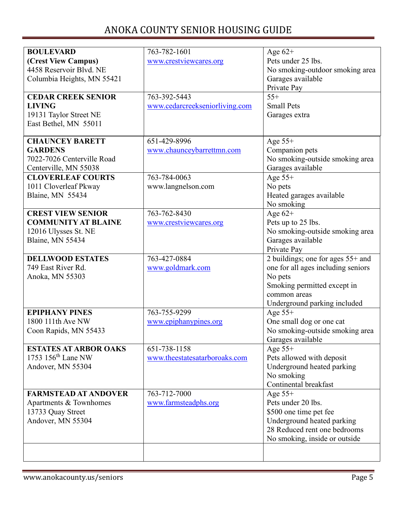| <b>BOULEVARD</b>             | 763-782-1601                   | Age $62+$                          |
|------------------------------|--------------------------------|------------------------------------|
| (Crest View Campus)          | www.crestviewcares.org         | Pets under 25 lbs.                 |
| 4458 Reservoir Blvd. NE      |                                | No smoking-outdoor smoking area    |
| Columbia Heights, MN 55421   |                                | Garages available                  |
|                              |                                | Private Pay                        |
| <b>CEDAR CREEK SENIOR</b>    | 763-392-5443                   | $55+$                              |
| <b>LIVING</b>                | www.cedarcreekseniorliving.com | <b>Small Pets</b>                  |
| 19131 Taylor Street NE       |                                | Garages extra                      |
| East Bethel, MN 55011        |                                |                                    |
|                              |                                |                                    |
| <b>CHAUNCEY BARETT</b>       | 651-429-8996                   | Age $55+$                          |
| <b>GARDENS</b>               | www.chaunceybarrettmn.com      | Companion pets                     |
| 7022-7026 Centerville Road   |                                | No smoking-outside smoking area    |
| Centerville, MN 55038        |                                | Garages available                  |
| <b>CLOVERLEAF COURTS</b>     | 763-784-0063                   | Age $55+$                          |
| 1011 Cloverleaf Pkway        | www.langnelson.com             | No pets                            |
| Blaine, MN 55434             |                                | Heated garages available           |
|                              |                                | No smoking                         |
| <b>CREST VIEW SENIOR</b>     | 763-762-8430                   | Age $62+$                          |
| <b>COMMUNITY AT BLAINE</b>   | www.crestviewcares.org         | Pets up to 25 lbs.                 |
| 12016 Ulysses St. NE         |                                | No smoking-outside smoking area    |
| Blaine, MN 55434             |                                | Garages available                  |
|                              |                                | Private Pay                        |
| <b>DELLWOOD ESTATES</b>      | 763-427-0884                   | 2 buildings; one for ages 55+ and  |
| 749 East River Rd.           | www.goldmark.com               | one for all ages including seniors |
| Anoka, MN 55303              |                                | No pets                            |
|                              |                                | Smoking permitted except in        |
|                              |                                | common areas                       |
|                              |                                | Underground parking included       |
| <b>EPIPHANY PINES</b>        | 763-755-9299                   | Age $55+$                          |
| 1800 111th Ave NW            | www.epiphanypines.org          | One small dog or one cat           |
| Coon Rapids, MN 55433        |                                | No smoking-outside smoking area    |
|                              |                                | Garages available                  |
| <b>ESTATES AT ARBOR OAKS</b> | 651-738-1158                   | Age $55+$                          |
| 1753 $156th$ Lane NW         | www.theestatesatarboroaks.com  | Pets allowed with deposit          |
| Andover, MN 55304            |                                | Underground heated parking         |
|                              |                                | No smoking                         |
|                              |                                | Continental breakfast              |
| <b>FARMSTEAD AT ANDOVER</b>  | 763-712-7000                   | Age $55+$                          |
| Apartments & Townhomes       | www.farmsteadphs.org           | Pets under 20 lbs.                 |
| 13733 Quay Street            |                                | \$500 one time pet fee             |
| Andover, MN 55304            |                                | Underground heated parking         |
|                              |                                | 28 Reduced rent one bedrooms       |
|                              |                                | No smoking, inside or outside      |
|                              |                                |                                    |
|                              |                                |                                    |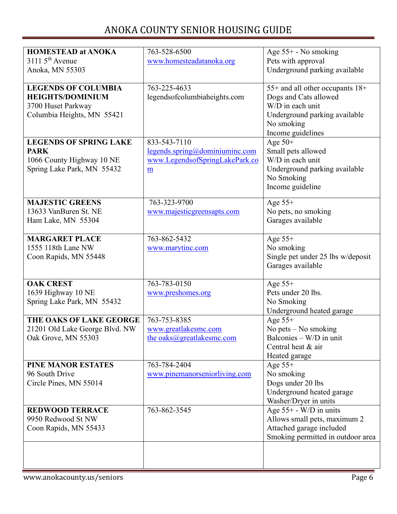| <b>HOMESTEAD at ANOKA</b>                   | 763-528-6500                   | Age 55+ - No smoking                            |
|---------------------------------------------|--------------------------------|-------------------------------------------------|
| $31115^{th}$ Avenue                         | www.homesteadatanoka.org       | Pets with approval                              |
| Anoka, MN 55303                             |                                | Underground parking available                   |
|                                             |                                |                                                 |
| <b>LEGENDS OF COLUMBIA</b>                  | 763-225-4633                   | 55+ and all other occupants 18+                 |
| <b>HEIGHTS/DOMINIUM</b>                     | legendsofcolumbiaheights.com   | Dogs and Cats allowed                           |
| 3700 Huset Parkway                          |                                | W/D in each unit                                |
| Columbia Heights, MN 55421                  |                                | Underground parking available                   |
|                                             |                                | No smoking                                      |
| <b>LEGENDS OF SPRING LAKE</b>               | 833-543-7110                   | Income guidelines                               |
| <b>PARK</b>                                 | legends.springframework.com    | Age $50+$<br>Small pets allowed                 |
| 1066 County Highway 10 NE                   | www.LegendsofSpringLakePark.co | W/D in each unit                                |
| Spring Lake Park, MN 55432                  | $\underline{\mathbf{m}}$       | Underground parking available                   |
|                                             |                                | No Smoking                                      |
|                                             |                                | Income guideline                                |
|                                             |                                |                                                 |
| <b>MAJESTIC GREENS</b>                      | 763-323-9700                   | Age $55+$                                       |
| 13633 VanBuren St. NE                       | www.majesticgreensapts.com     | No pets, no smoking                             |
| Ham Lake, MN 55304                          |                                | Garages available                               |
|                                             |                                |                                                 |
| <b>MARGARET PLACE</b><br>1555 118th Lane NW | 763-862-5432                   | Age $55+$                                       |
| Coon Rapids, MN 55448                       | www.marytinc.com               | No smoking<br>Single pet under 25 lbs w/deposit |
|                                             |                                | Garages available                               |
|                                             |                                |                                                 |
| <b>OAK CREST</b>                            | 763-783-0150                   | Age $55+$                                       |
| 1639 Highway 10 NE                          | www.preshomes.org              | Pets under 20 lbs.                              |
| Spring Lake Park, MN 55432                  |                                | No Smoking                                      |
|                                             |                                | Underground heated garage                       |
| THE OAKS OF LAKE GEORGE                     | 763-753-8385                   | Age $55+$                                       |
| 21201 Old Lake George Blvd. NW              | www.greatlakesmc.com           | No pets $-$ No smoking                          |
| Oak Grove, MN 55303                         | the oaks@greatlakesmc.com      | Balconies - W/D in unit                         |
|                                             |                                | Central heat & air                              |
| <b>PINE MANOR ESTATES</b>                   | 763-784-2404                   | Heated garage                                   |
| 96 South Drive                              | www.pinemanorseniorliving.com  | Age $55+$<br>No smoking                         |
| Circle Pines, MN 55014                      |                                | Dogs under 20 lbs                               |
|                                             |                                | Underground heated garage                       |
|                                             |                                | Washer/Dryer in units                           |
| <b>REDWOOD TERRACE</b>                      | 763-862-3545                   | Age 55+ - W/D in units                          |
| 9950 Redwood St NW                          |                                | Allows small pets, maximum 2                    |
| Coon Rapids, MN 55433                       |                                | Attached garage included                        |
|                                             |                                | Smoking permitted in outdoor area               |
|                                             |                                |                                                 |
|                                             |                                |                                                 |
|                                             |                                |                                                 |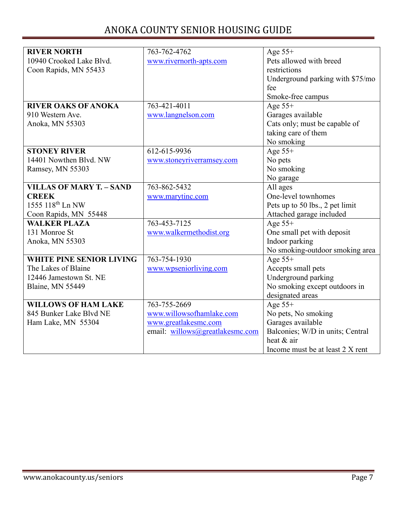| <b>RIVER NORTH</b>              | 763-762-4762                    | Age $55+$                        |
|---------------------------------|---------------------------------|----------------------------------|
| 10940 Crooked Lake Blvd.        | www.rivernorth-apts.com         | Pets allowed with breed          |
| Coon Rapids, MN 55433           |                                 | restrictions                     |
|                                 |                                 | Underground parking with \$75/mo |
|                                 |                                 | fee                              |
|                                 |                                 | Smoke-free campus                |
| <b>RIVER OAKS OF ANOKA</b>      | 763-421-4011                    | Age $55+$                        |
| 910 Western Ave.                | www.langnelson.com              | Garages available                |
| Anoka, MN 55303                 |                                 | Cats only; must be capable of    |
|                                 |                                 | taking care of them              |
|                                 |                                 | No smoking                       |
| <b>STONEY RIVER</b>             | 612-615-9936                    | Age $55+$                        |
| 14401 Nowthen Blvd. NW          | www.stoneyriverramsey.com       | No pets                          |
| Ramsey, MN 55303                |                                 | No smoking                       |
|                                 |                                 | No garage                        |
| <b>VILLAS OF MARY T. - SAND</b> | 763-862-5432                    | All ages                         |
| <b>CREEK</b>                    | www.marytinc.com                | One-level townhomes              |
| 1555 118 <sup>th</sup> Ln NW    |                                 | Pets up to 50 lbs., 2 pet limit  |
| Coon Rapids, MN 55448           |                                 | Attached garage included         |
| <b>WALKER PLAZA</b>             | 763-453-7125                    | Age $55+$                        |
| 131 Monroe St                   | www.walkermethodist.org         | One small pet with deposit       |
| Anoka, MN 55303                 |                                 | Indoor parking                   |
|                                 |                                 | No smoking-outdoor smoking area  |
| <b>WHITE PINE SENIOR LIVING</b> | 763-754-1930                    | Age $55+$                        |
| The Lakes of Blaine             | www.wpseniorliving.com          | Accepts small pets               |
| 12446 Jamestown St. NE          |                                 | Underground parking              |
| Blaine, MN 55449                |                                 | No smoking except outdoors in    |
|                                 |                                 | designated areas                 |
| <b>WILLOWS OF HAM LAKE</b>      | 763-755-2669                    | Age $55+$                        |
| 845 Bunker Lake Blvd NE         | www.willowsofhamlake.com        | No pets, No smoking              |
| Ham Lake, MN 55304              | www.greatlakesmc.com            | Garages available                |
|                                 | email: willows@greatlakesmc.com | Balconies; W/D in units; Central |
|                                 |                                 | heat & air                       |
|                                 |                                 | Income must be at least 2 X rent |
|                                 |                                 |                                  |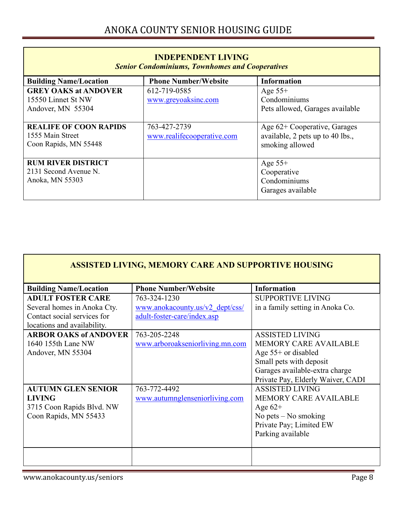| <b>INDEPENDENT LIVING</b><br><b>Senior Condominiums, Townhomes and Cooperatives</b> |                                            |                                                                                     |
|-------------------------------------------------------------------------------------|--------------------------------------------|-------------------------------------------------------------------------------------|
| <b>Building Name/Location</b>                                                       | <b>Phone Number/Website</b>                | <b>Information</b>                                                                  |
| <b>GREY OAKS at ANDOVER</b><br>15550 Linnet St NW<br>Andover, MN 55304              | 612-719-0585<br>www.greyoaksinc.com        | Age $55+$<br>Condominiums<br>Pets allowed, Garages available                        |
| <b>REALIFE OF COON RAPIDS</b><br>1555 Main Street<br>Coon Rapids, MN 55448          | 763-427-2739<br>www.realifecooperative.com | Age 62+ Cooperative, Garages<br>available, 2 pets up to 40 lbs.,<br>smoking allowed |
| <b>RUM RIVER DISTRICT</b><br>2131 Second Avenue N.<br>Anoka, MN 55303               |                                            | Age $55+$<br>Cooperative<br>Condominiums<br>Garages available                       |

| <b>ASSISTED LIVING, MEMORY CARE AND SUPPORTIVE HOUSING</b> |                                 |                                   |
|------------------------------------------------------------|---------------------------------|-----------------------------------|
| <b>Building Name/Location</b>                              | <b>Phone Number/Website</b>     | <b>Information</b>                |
| <b>ADULT FOSTER CARE</b>                                   | 763-324-1230                    | <b>SUPPORTIVE LIVING</b>          |
| Several homes in Anoka Cty.                                | www.anokacounty.us/v2 dept/css/ | in a family setting in Anoka Co.  |
| Contact social services for                                | adult-foster-care/index.asp     |                                   |
| locations and availability.                                |                                 |                                   |
| <b>ARBOR OAKS of ANDOVER</b>                               | 763-205-2248                    | <b>ASSISTED LIVING</b>            |
| 1640 155th Lane NW                                         | www.arboroakseniorliving.mn.com | <b>MEMORY CARE AVAILABLE</b>      |
| Andover, MN 55304                                          |                                 | Age $55+$ or disabled             |
|                                                            |                                 | Small pets with deposit           |
|                                                            |                                 | Garages available-extra charge    |
|                                                            |                                 | Private Pay, Elderly Waiver, CADI |
| <b>AUTUMN GLEN SENIOR</b>                                  | 763-772-4492                    | <b>ASSISTED LIVING</b>            |
| <b>LIVING</b>                                              | www.autumnglenseniorliving.com  | <b>MEMORY CARE AVAILABLE</b>      |
| 3715 Coon Rapids Blvd. NW                                  |                                 | Age $62+$                         |
| Coon Rapids, MN 55433                                      |                                 | No pets $-$ No smoking            |
|                                                            |                                 | Private Pay; Limited EW           |
|                                                            |                                 | Parking available                 |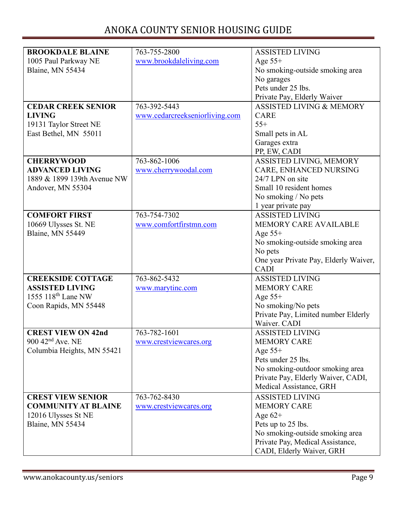| <b>BROOKDALE BLAINE</b>        | 763-755-2800                   | <b>ASSISTED LIVING</b>                |
|--------------------------------|--------------------------------|---------------------------------------|
| 1005 Paul Parkway NE           | www.brookdaleliving.com        | Age $55+$                             |
| Blaine, MN 55434               |                                | No smoking-outside smoking area       |
|                                |                                | No garages                            |
|                                |                                | Pets under 25 lbs.                    |
|                                |                                | Private Pay, Elderly Waiver           |
| <b>CEDAR CREEK SENIOR</b>      | 763-392-5443                   | <b>ASSISTED LIVING &amp; MEMORY</b>   |
| <b>LIVING</b>                  | www.cedarcreekseniorliving.com | <b>CARE</b>                           |
| 19131 Taylor Street NE         |                                | $55+$                                 |
| East Bethel, MN 55011          |                                | Small pets in AL                      |
|                                |                                | Garages extra                         |
|                                |                                | PP, EW, CADI                          |
| <b>CHERRYWOOD</b>              | 763-862-1006                   | ASSISTED LIVING, MEMORY               |
| <b>ADVANCED LIVING</b>         | www.cherrywoodal.com           | CARE, ENHANCED NURSING                |
| 1889 & 1899 139th Avenue NW    |                                | 24/7 LPN on site                      |
| Andover, MN 55304              |                                | Small 10 resident homes               |
|                                |                                | No smoking / No pets                  |
|                                |                                | 1 year private pay                    |
| <b>COMFORT FIRST</b>           | 763-754-7302                   | <b>ASSISTED LIVING</b>                |
| 10669 Ulysses St. NE           | www.comfortfirstmn.com         | <b>MEMORY CARE AVAILABLE</b>          |
| Blaine, MN 55449               |                                | Age $55+$                             |
|                                |                                | No smoking-outside smoking area       |
|                                |                                | No pets                               |
|                                |                                | One year Private Pay, Elderly Waiver, |
|                                |                                | <b>CADI</b>                           |
| <b>CREEKSIDE COTTAGE</b>       | 763-862-5432                   | <b>ASSISTED LIVING</b>                |
| <b>ASSISTED LIVING</b>         | www.marytinc.com               | <b>MEMORY CARE</b>                    |
| 1555 $118th$ Lane NW           |                                | Age $55+$                             |
| Coon Rapids, MN 55448          |                                | No smoking/No pets                    |
|                                |                                | Private Pay, Limited number Elderly   |
|                                |                                | Waiver. CADI                          |
| <b>CREST VIEW ON 42nd</b>      | 763-782-1601                   | <b>ASSISTED LIVING</b>                |
| $900$ 42 <sup>nd</sup> Ave. NE | www.crestviewcares.org         | <b>MEMORY CARE</b>                    |
| Columbia Heights, MN 55421     |                                | Age $55+$                             |
|                                |                                | Pets under 25 lbs.                    |
|                                |                                | No smoking-outdoor smoking area       |
|                                |                                | Private Pay, Elderly Waiver, CADI,    |
|                                |                                | Medical Assistance, GRH               |
| <b>CREST VIEW SENIOR</b>       | 763-762-8430                   | <b>ASSISTED LIVING</b>                |
| <b>COMMUNITY AT BLAINE</b>     | www.crestviewcares.org         | <b>MEMORY CARE</b>                    |
| 12016 Ulysses St NE            |                                | Age $62+$                             |
| Blaine, MN 55434               |                                | Pets up to 25 lbs.                    |
|                                |                                | No smoking-outside smoking area       |
|                                |                                | Private Pay, Medical Assistance,      |
|                                |                                | CADI, Elderly Waiver, GRH             |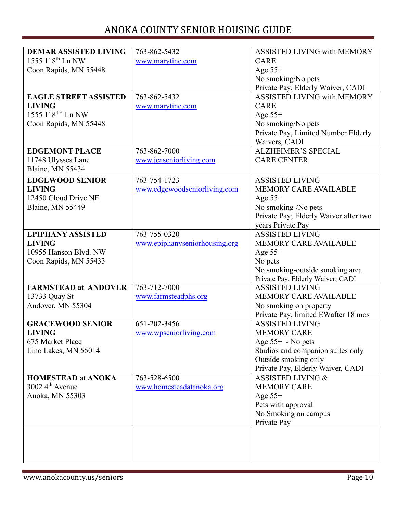| <b>DEMAR ASSISTED LIVING</b> | 763-862-5432                  | <b>ASSISTED LIVING with MEMORY</b>    |
|------------------------------|-------------------------------|---------------------------------------|
| 1555 118 <sup>th</sup> Ln NW | www.marytinc.com              | <b>CARE</b>                           |
| Coon Rapids, MN 55448        |                               | Age $55+$                             |
|                              |                               | No smoking/No pets                    |
|                              |                               | Private Pay, Elderly Waiver, CADI     |
| <b>EAGLE STREET ASSISTED</b> | 763-862-5432                  | <b>ASSISTED LIVING with MEMORY</b>    |
| <b>LIVING</b>                | www.marytinc.com              | <b>CARE</b>                           |
| 1555 118TH Ln NW             |                               | Age $55+$                             |
| Coon Rapids, MN 55448        |                               | No smoking/No pets                    |
|                              |                               | Private Pay, Limited Number Elderly   |
|                              |                               | Waivers, CADI                         |
| <b>EDGEMONT PLACE</b>        | 763-862-7000                  | <b>ALZHEIMER'S SPECIAL</b>            |
| 11748 Ulysses Lane           | www.jeaseniorliving.com       | <b>CARE CENTER</b>                    |
| Blaine, MN 55434             |                               |                                       |
| <b>EDGEWOOD SENIOR</b>       | 763-754-1723                  | <b>ASSISTED LIVING</b>                |
| <b>LIVING</b>                | www.edgewoodseniorliving.com  | <b>MEMORY CARE AVAILABLE</b>          |
| 12450 Cloud Drive NE         |                               | Age $55+$                             |
| Blaine, MN 55449             |                               | No smoking-/No pets                   |
|                              |                               | Private Pay; Elderly Waiver after two |
|                              |                               | years Private Pay                     |
| <b>EPIPHANY ASSISTED</b>     | 763-755-0320                  | <b>ASSISTED LIVING</b>                |
| <b>LIVING</b>                | www.epiphanyseniorhousing.org | <b>MEMORY CARE AVAILABLE</b>          |
| 10955 Hanson Blvd. NW        |                               | Age $55+$                             |
| Coon Rapids, MN 55433        |                               | No pets                               |
|                              |                               | No smoking-outside smoking area       |
|                              |                               | Private Pay, Elderly Waiver, CADI     |
| <b>FARMSTEAD at ANDOVER</b>  | $763 - 712 - 7000$            | <b>ASSISTED LIVING</b>                |
| 13733 Quay St                | www.farmsteadphs.org          | MEMORY CARE AVAILABLE                 |
| Andover, MN 55304            |                               | No smoking on property                |
|                              |                               | Private Pay, limited EWafter 18 mos   |
| <b>GRACEWOOD SENIOR</b>      | 651-202-3456                  | <b>ASSISTED LIVING</b>                |
| <b>LIVING</b>                | www.wpseniorliving.com        | <b>MEMORY CARE</b>                    |
| 675 Market Place             |                               | Age 55+ - No pets                     |
| Lino Lakes, MN 55014         |                               | Studios and companion suites only     |
|                              |                               | Outside smoking only                  |
|                              |                               | Private Pay, Elderly Waiver, CADI     |
| <b>HOMESTEAD at ANOKA</b>    | 763-528-6500                  | <b>ASSISTED LIVING &amp;</b>          |
| $3002\,4^{\text{th}}$ Avenue | www.homesteadatanoka.org      | <b>MEMORY CARE</b>                    |
| Anoka, MN 55303              |                               | Age $55+$                             |
|                              |                               | Pets with approval                    |
|                              |                               | No Smoking on campus                  |
|                              |                               | Private Pay                           |
|                              |                               |                                       |
|                              |                               |                                       |
|                              |                               |                                       |
|                              |                               |                                       |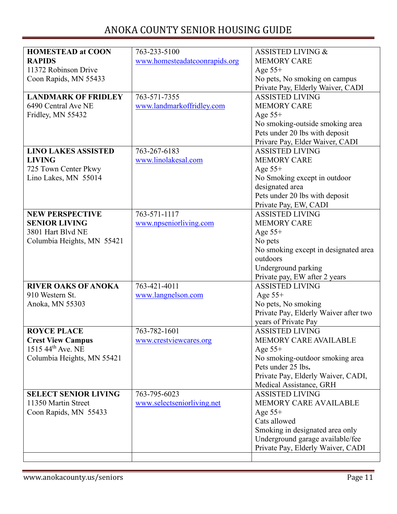| <b>HOMESTEAD at COON</b>      | 763-233-5100                  | <b>ASSISTED LIVING &amp;</b>          |
|-------------------------------|-------------------------------|---------------------------------------|
| <b>RAPIDS</b>                 | www.homesteadatcoonrapids.org | <b>MEMORY CARE</b>                    |
| 11372 Robinson Drive          |                               | Age $55+$                             |
| Coon Rapids, MN 55433         |                               | No pets, No smoking on campus         |
|                               |                               | Private Pay, Elderly Waiver, CADI     |
| <b>LANDMARK OF FRIDLEY</b>    | 763-571-7355                  | <b>ASSISTED LIVING</b>                |
| 6490 Central Ave NE           | www.landmarkoffridley.com     | <b>MEMORY CARE</b>                    |
| Fridley, MN 55432             |                               | Age $55+$                             |
|                               |                               | No smoking-outside smoking area       |
|                               |                               | Pets under 20 lbs with deposit        |
|                               |                               | Privare Pay, Elder Waiver, CADI       |
| <b>LINO LAKES ASSISTED</b>    | 763-267-6183                  | <b>ASSISTED LIVING</b>                |
| <b>LIVING</b>                 | www.linolakesal.com           | <b>MEMORY CARE</b>                    |
| 725 Town Center Pkwy          |                               | Age $55+$                             |
| Lino Lakes, MN 55014          |                               | No Smoking except in outdoor          |
|                               |                               | designated area                       |
|                               |                               | Pets under 20 lbs with deposit        |
|                               |                               | Private Pay, EW, CADI                 |
| <b>NEW PERSPECTIVE</b>        | 763-571-1117                  | <b>ASSISTED LIVING</b>                |
| <b>SENIOR LIVING</b>          | www.npseniorliving.com        | <b>MEMORY CARE</b>                    |
| 3801 Hart Blvd NE             |                               | Age $55+$                             |
| Columbia Heights, MN 55421    |                               | No pets                               |
|                               |                               | No smoking except in designated area  |
|                               |                               | outdoors                              |
|                               |                               | Underground parking                   |
|                               |                               | Private pay, EW after 2 years         |
| <b>RIVER OAKS OF ANOKA</b>    | 763-421-4011                  | <b>ASSISTED LIVING</b>                |
| 910 Western St.               | www.langnelson.com            | Age $55+$                             |
| Anoka, MN 55303               |                               | No pets, No smoking                   |
|                               |                               | Private Pay, Elderly Waiver after two |
|                               |                               | years of Private Pay                  |
| <b>ROYCE PLACE</b>            | 763-782-1601                  | <b>ASSISTED LIVING</b>                |
| <b>Crest View Campus</b>      | www.crestviewcares.org        | <b>MEMORY CARE AVAILABLE</b>          |
| 1515 44 <sup>th</sup> Ave. NE |                               | Age $55+$                             |
| Columbia Heights, MN 55421    |                               | No smoking-outdoor smoking area       |
|                               |                               | Pets under 25 lbs.                    |
|                               |                               | Private Pay, Elderly Waiver, CADI,    |
|                               |                               | Medical Assistance, GRH               |
| <b>SELECT SENIOR LIVING</b>   | 763-795-6023                  | <b>ASSISTED LIVING</b>                |
| 11350 Martin Street           | www.selectseniorliving.net    | MEMORY CARE AVAILABLE                 |
| Coon Rapids, MN 55433         |                               | Age $55+$                             |
|                               |                               | Cats allowed                          |
|                               |                               | Smoking in designated area only       |
|                               |                               | Underground garage available/fee      |
|                               |                               | Private Pay, Elderly Waiver, CADI     |
|                               |                               |                                       |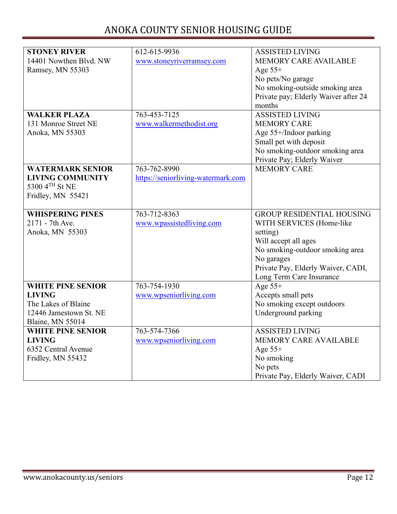| <b>STONEY RIVER</b>      | 612-615-9936                       | <b>ASSISTED LIVING</b>               |
|--------------------------|------------------------------------|--------------------------------------|
| 14401 Nowthen Blvd. NW   | www.stoneyriverramsey.com          | MEMORY CARE AVAILABLE                |
| Ramsey, MN 55303         |                                    | Age $55+$                            |
|                          |                                    |                                      |
|                          |                                    | No pets/No garage                    |
|                          |                                    | No smoking-outside smoking area      |
|                          |                                    | Private pay; Elderly Waiver after 24 |
|                          |                                    | months                               |
| <b>WALKER PLAZA</b>      | 763-453-7125                       | <b>ASSISTED LIVING</b>               |
| 131 Monroe Street NE     | www.walkermethodist.org            | <b>MEMORY CARE</b>                   |
| Anoka, MN 55303          |                                    | Age 55+/Indoor parking               |
|                          |                                    | Small pet with deposit               |
|                          |                                    | No smoking-outdoor smoking area      |
|                          |                                    | Private Pay; Elderly Waiver          |
| <b>WATERMARK SENIOR</b>  | 763-762-8990                       | <b>MEMORY CARE</b>                   |
| <b>LIVING COMMUNITY</b>  | https://seniorliving-watermark.com |                                      |
| 5300 4TH St NE           |                                    |                                      |
| Fridley, MN 55421        |                                    |                                      |
|                          |                                    |                                      |
| <b>WHISPERING PINES</b>  | 763-712-8363                       | <b>GROUP RESIDENTIAL HOUSING</b>     |
| 2171 - 7th Ave.          | www.wpassistedliving.com           | WITH SERVICES (Home-like             |
| Anoka, MN 55303          |                                    | setting)                             |
|                          |                                    | Will accept all ages                 |
|                          |                                    | No smoking-outdoor smoking area      |
|                          |                                    | No garages                           |
|                          |                                    | Private Pay, Elderly Waiver, CADI,   |
|                          |                                    | Long Term Care Insurance             |
| <b>WHITE PINE SENIOR</b> | 763-754-1930                       | Age $55+$                            |
| <b>LIVING</b>            | www.wpseniorliving.com             | Accepts small pets                   |
| The Lakes of Blaine      |                                    | No smoking except outdoors           |
| 12446 Jamestown St. NE   |                                    | Underground parking                  |
| Blaine, MN 55014         |                                    |                                      |
| <b>WHITE PINE SENIOR</b> | 763-574-7366                       | <b>ASSISTED LIVING</b>               |
| <b>LIVING</b>            | www.wpseniorliving.com             | MEMORY CARE AVAILABLE                |
| 6352 Central Avenue      |                                    | Age $55+$                            |
|                          |                                    |                                      |
| Fridley, MN 55432        |                                    | No smoking                           |
|                          |                                    | No pets                              |
|                          |                                    | Private Pay, Elderly Waiver, CADI    |